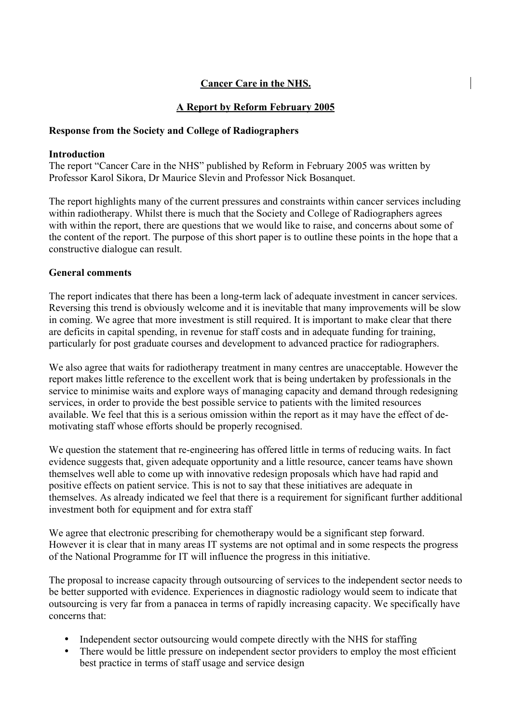# **Cancer Care in the NHS.**

# **A Report by Reform February 2005**

## **Response from the Society and College of Radiographers**

#### **Introduction**

The report "Cancer Care in the NHS" published by Reform in February 2005 was written by Professor Karol Sikora, Dr Maurice Slevin and Professor Nick Bosanquet.

The report highlights many of the current pressures and constraints within cancer services including within radiotherapy. Whilst there is much that the Society and College of Radiographers agrees with within the report, there are questions that we would like to raise, and concerns about some of the content of the report. The purpose of this short paper is to outline these points in the hope that a constructive dialogue can result.

## **General comments**

The report indicates that there has been a long-term lack of adequate investment in cancer services. Reversing this trend is obviously welcome and it is inevitable that many improvements will be slow in coming. We agree that more investment is still required. It is important to make clear that there are deficits in capital spending, in revenue for staff costs and in adequate funding for training, particularly for post graduate courses and development to advanced practice for radiographers.

We also agree that waits for radiotherapy treatment in many centres are unacceptable. However the report makes little reference to the excellent work that is being undertaken by professionals in the service to minimise waits and explore ways of managing capacity and demand through redesigning services, in order to provide the best possible service to patients with the limited resources available. We feel that this is a serious omission within the report as it may have the effect of demotivating staff whose efforts should be properly recognised.

We question the statement that re-engineering has offered little in terms of reducing waits. In fact evidence suggests that, given adequate opportunity and a little resource, cancer teams have shown themselves well able to come up with innovative redesign proposals which have had rapid and positive effects on patient service. This is not to say that these initiatives are adequate in themselves. As already indicated we feel that there is a requirement for significant further additional investment both for equipment and for extra staff

We agree that electronic prescribing for chemotherapy would be a significant step forward. However it is clear that in many areas IT systems are not optimal and in some respects the progress of the National Programme for IT will influence the progress in this initiative.

The proposal to increase capacity through outsourcing of services to the independent sector needs to be better supported with evidence. Experiences in diagnostic radiology would seem to indicate that outsourcing is very far from a panacea in terms of rapidly increasing capacity. We specifically have concerns that:

- Independent sector outsourcing would compete directly with the NHS for staffing
- There would be little pressure on independent sector providers to employ the most efficient best practice in terms of staff usage and service design